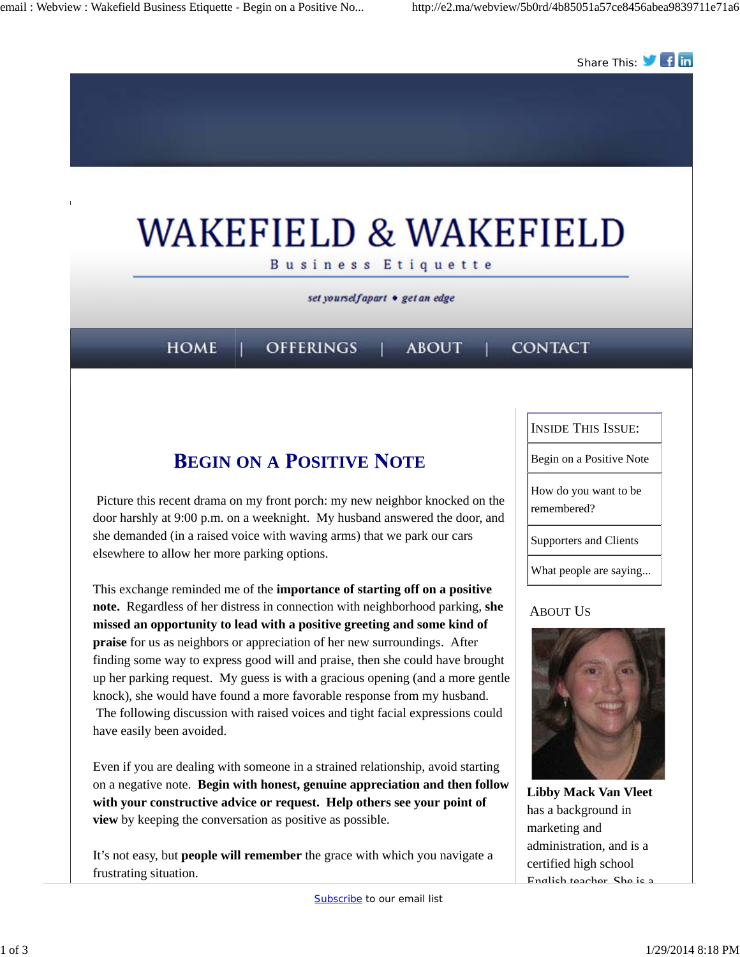

# **EGIN ON A OSITIVE OTE**

Picture this recent drama on my front porch: my new neighbor knocked on the door harshly at 9:00 p.m. on a weeknight. My husband answered the door, and she demanded (in a raised voice with waving arms) that we park our cars elsewhere to allow her more parking options.

This exchange reminded me of the **importance of starting off on a positive note.** Regardless of her distress in connection with neighborhood parking, **she missed an opportunity to lead with a positive greeting and some kind of praise** for us as neighbors or appreciation of her new surroundings. After finding some way to express good will and praise, then she could have brought up her parking request. My guess is with a gracious opening (and a more gentle knock), she would have found a more favorable response from my husband. The following discussion with raised voices and tight facial expressions could have easily been avoided.

Even if you are dealing with someone in a strained relationship, avoid starting on a negative note. **Begin with honest, genuine appreciation and then follow with your constructive advice or request. Help others see your point of view** by keeping the conversation as positive as possible.

It's not easy, but **people will remember** the grace with which you navigate a frustrating situation.



Begin on a Positive Note

How do you want to be remembered?

Supporters and Clients

What people are saying...

#### ABOUT US



**Libby Mack Van Vleet** has a background in marketing and administration, and is a certified high school English teacher. She is a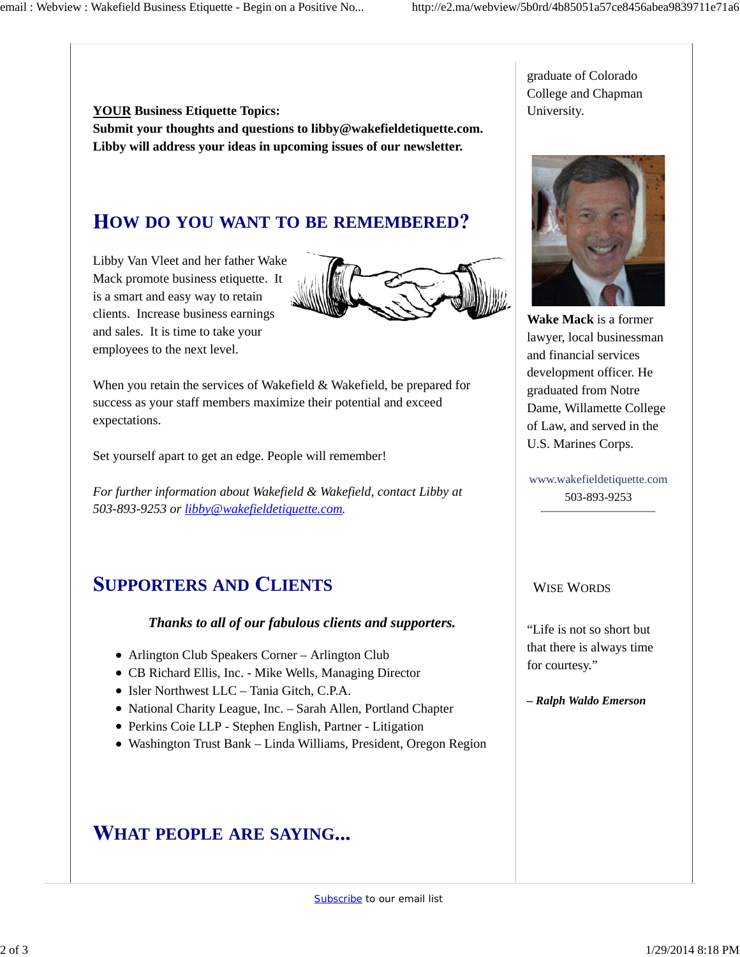**YOUR Business Etiquette Topics: Submit your thoughts and questions to libby@wakefieldetiquette.com. Libby will address your ideas in upcoming issues of our newsletter.**

### **OW DO YOU WANT TO BE REMEMBERED**

Libby Van Vleet and her father Wake Mack promote business etiquette. It is a smart and easy way to retain clients. Increase business earnings and sales. It is time to take your employees to the next level.



When you retain the services of Wakefield & Wakefield, be prepared for success as your staff members maximize their potential and exceed expectations.

Set yourself apart to get an edge. People will remember!

*For further information about Wakefield & Wakefield, contact Libby at 503-893-9253 or libby@wakefieldetiquette.com.*

## **UPPORTERS AND LIENTS**

#### *Thanks to all of our fabulous clients and supporters.*

- Arlington Club Speakers Corner Arlington Club
- CB Richard Ellis, Inc. Mike Wells, Managing Director
- Isler Northwest LLC Tania Gitch, C.P.A.
- National Charity League, Inc. Sarah Allen, Portland Chapter
- Perkins Coie LLP Stephen English, Partner Litigation
- Washington Trust Bank Linda Williams, President, Oregon Region

### **HAT PEOPLE ARE SAYING**

graduate of Colorado College and Chapman University.



**Wake Mack** is a former lawyer, local businessman and financial services development officer. He graduated from Notre Dame, Willamette College of Law, and served in the U.S. Marines Corps.

www.wakefieldetiquette.com 503-893-9253

#### WISE WORDS

"Life is not so short but that there is always time for courtesy."

*– Ralph Waldo Emerson*